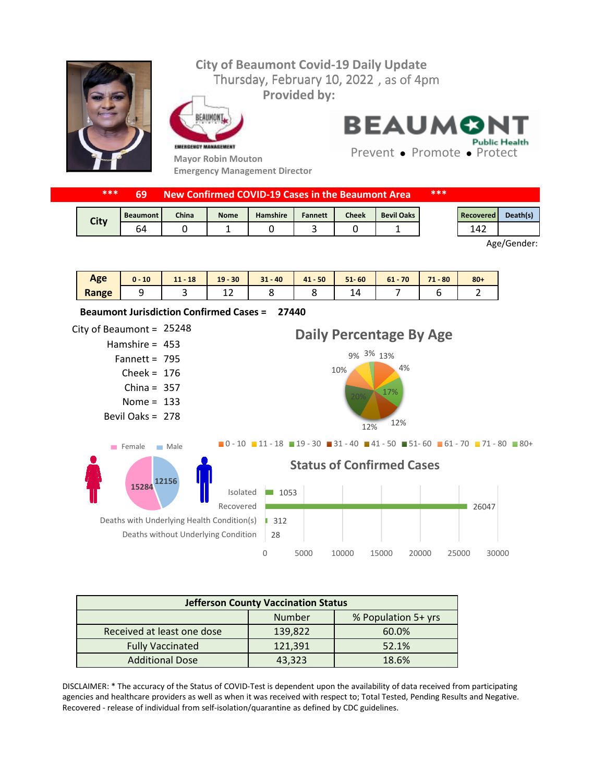## **City of Beaumont Covid-19 Daily Update** Thursday, February 10, 2022, as of 4pm **Provided by:** EAUMONT **BEAUMON Public Health** EMERGENCY MANAGEMENT Prevent • Promote • Protect **Mayor Robin Mouton**

**Emergency Management Director**

| **** | 69              | New Confirmed COVID-19 Cases in the Beaumont Area |             |          |                |       | ***               |  |           |          |
|------|-----------------|---------------------------------------------------|-------------|----------|----------------|-------|-------------------|--|-----------|----------|
|      | <b>Beaumont</b> | <b>China</b>                                      | <b>Nome</b> | Hamshire | <b>Fannett</b> | Cheek | <b>Bevil Oaks</b> |  | Recovered | Death(s) |
| City | 64              |                                                   |             |          |                |       |                   |  | 142       |          |

Age/Gender:

| Age   | 10<br>$0 -$ | $-18$<br>111<br>$\mathbf{A}$ , $\mathbf{A}$ | $19 - 30$ | $31 - 40$ | $41 - 50$ | $51 - 60$ | $61 - 70$ | 71<br>$-80$ | $80 +$ |
|-------|-------------|---------------------------------------------|-----------|-----------|-----------|-----------|-----------|-------------|--------|
| Range |             |                                             | ∸∸        |           |           |           |           |             |        |



| <b>Jefferson County Vaccination Status</b> |         |       |  |  |  |
|--------------------------------------------|---------|-------|--|--|--|
| % Population 5+ yrs<br>Number              |         |       |  |  |  |
| Received at least one dose                 | 139,822 | 60.0% |  |  |  |
| <b>Fully Vaccinated</b>                    | 121,391 | 52.1% |  |  |  |
| <b>Additional Dose</b>                     | 43,323  | 18.6% |  |  |  |

DISCLAIMER: \* The accuracy of the Status of COVID-Test is dependent upon the availability of data received from participating agencies and healthcare providers as well as when it was received with respect to; Total Tested, Pending Results and Negative. Recovered - release of individual from self-isolation/quarantine as defined by CDC guidelines.